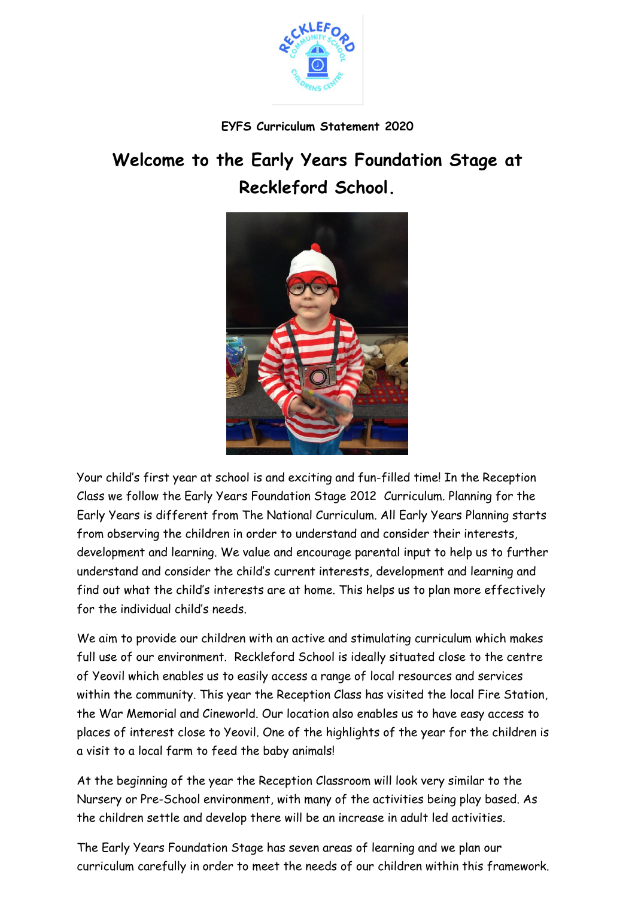

# **EYFS Curriculum Statement 2020**

# **Welcome to the Early Years Foundation Stage at Reckleford School.**



Your child's first year at school is and exciting and fun-filled time! In the Reception Class we follow the Early Years Foundation Stage 2012 Curriculum. Planning for the Early Years is different from The National Curriculum. All Early Years Planning starts from observing the children in order to understand and consider their interests, development and learning. We value and encourage parental input to help us to further understand and consider the child's current interests, development and learning and find out what the child's interests are at home. This helps us to plan more effectively for the individual child's needs.

We aim to provide our children with an active and stimulating curriculum which makes full use of our environment. Reckleford School is ideally situated close to the centre of Yeovil which enables us to easily access a range of local resources and services within the community. This year the Reception Class has visited the local Fire Station, the War Memorial and Cineworld. Our location also enables us to have easy access to places of interest close to Yeovil. One of the highlights of the year for the children is a visit to a local farm to feed the baby animals!

At the beginning of the year the Reception Classroom will look very similar to the Nursery or Pre-School environment, with many of the activities being play based. As the children settle and develop there will be an increase in adult led activities.

The Early Years Foundation Stage has seven areas of learning and we plan our curriculum carefully in order to meet the needs of our children within this framework.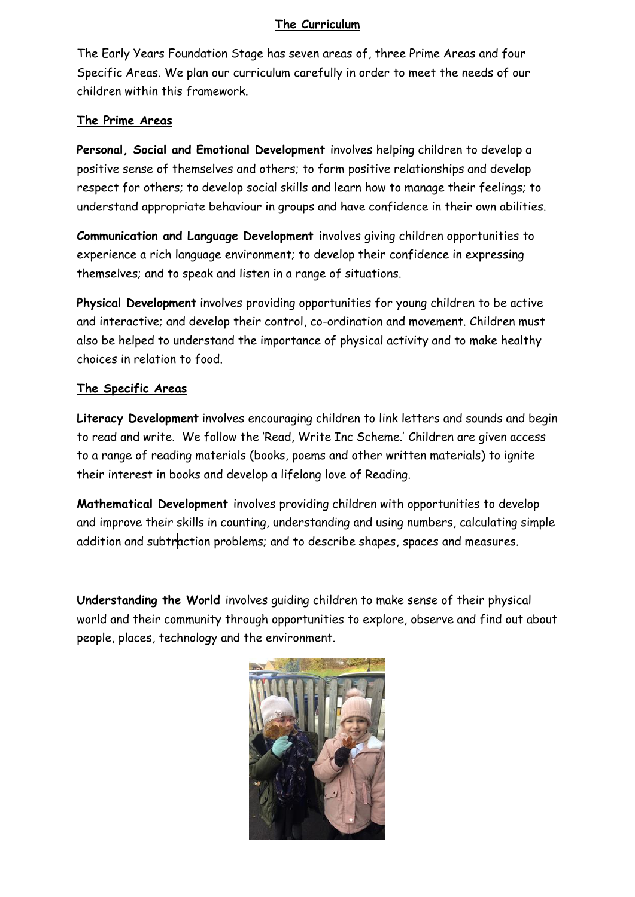# **The Curriculum**

The Early Years Foundation Stage has seven areas of, three Prime Areas and four Specific Areas. We plan our curriculum carefully in order to meet the needs of our children within this framework.

#### **The Prime Areas**

**Personal, Social and Emotional Development** involves helping children to develop a positive sense of themselves and others; to form positive relationships and develop respect for others; to develop social skills and learn how to manage their feelings; to understand appropriate behaviour in groups and have confidence in their own abilities.

**Communication and Language Development** involves giving children opportunities to experience a rich language environment; to develop their confidence in expressing themselves; and to speak and listen in a range of situations.

**Physical Development** involves providing opportunities for young children to be active and interactive; and develop their control, co-ordination and movement. Children must also be helped to understand the importance of physical activity and to make healthy choices in relation to food.

#### **The Specific Areas**

**Literacy Development** involves encouraging children to link letters and sounds and begin to read and write. We follow the 'Read, Write Inc Scheme.' Children are given access to a range of reading materials (books, poems and other written materials) to ignite their interest in books and develop a lifelong love of Reading.

**Mathematical Development** involves providing children with opportunities to develop and improve their skills in counting, understanding and using numbers, calculating simple addition and subtraction problems; and to describe shapes, spaces and measures.

**Understanding the World** involves guiding children to make sense of their physical world and their community through opportunities to explore, observe and find out about people, places, technology and the environment.

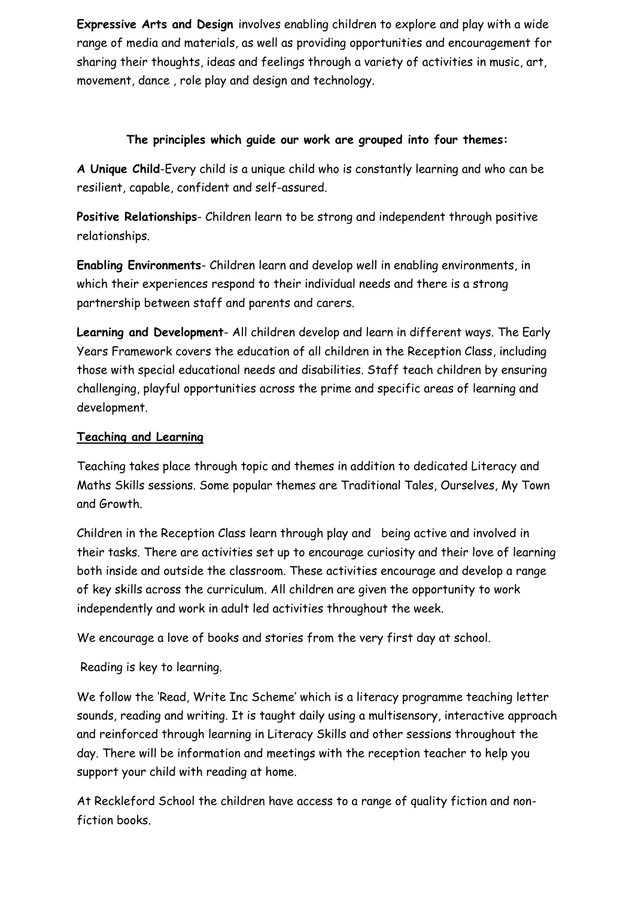**Expressive Arts and Design** involves enabling children to explore and play with a wide range of media and materials, as well as providing opportunities and encouragement for sharing their thoughts, ideas and feelings through a variety of activities in music, art, movement, dance , role play and design and technology.

# **The principles which guide our work are grouped into four themes:**

**A Unique Child**-Every child is a unique child who is constantly learning and who can be resilient, capable, confident and self-assured.

**Positive Relationships**- Children learn to be strong and independent through positive relationships.

**Enabling Environments**- Children learn and develop well in enabling environments, in which their experiences respond to their individual needs and there is a strong partnership between staff and parents and carers.

**Learning and Development**- All children develop and learn in different ways. The Early Years Framework covers the education of all children in the Reception Class, including those with special educational needs and disabilities. Staff teach children by ensuring challenging, playful opportunities across the prime and specific areas of learning and development.

#### **Teaching and Learning**

Teaching takes place through topic and themes in addition to dedicated Literacy and Maths Skills sessions. Some popular themes are Traditional Tales, Ourselves, My Town and Growth.

Children in the Reception Class learn through play and being active and involved in their tasks. There are activities set up to encourage curiosity and their love of learning both inside and outside the classroom. These activities encourage and develop a range of key skills across the curriculum. All children are given the opportunity to work independently and work in adult led activities throughout the week.

We encourage a love of books and stories from the very first day at school.

Reading is key to learning.

We follow the 'Read, Write Inc Scheme' which is a literacy programme teaching letter sounds, reading and writing. It is taught daily using a multisensory, interactive approach and reinforced through learning in Literacy Skills and other sessions throughout the day. There will be information and meetings with the reception teacher to help you support your child with reading at home.

At Reckleford School the children have access to a range of quality fiction and nonfiction books.